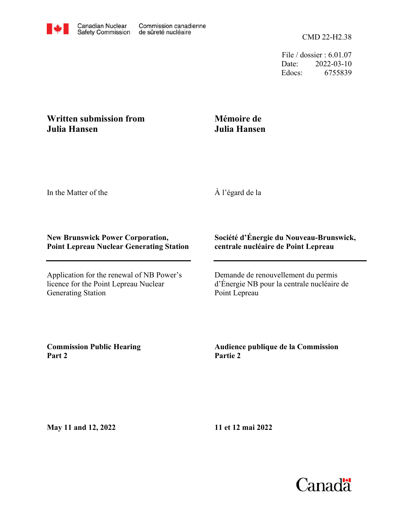CMD 22-H2.38

File / dossier : 6.01.07 Date: 2022-03-10 Edocs: 6755839

## **Written submission from Julia Hansen**

# **Mémoire de Julia Hansen**

In the Matter of the

À l'égard de la

### **New Brunswick Power Corporation, Point Lepreau Nuclear Generating Station**

Application for the renewal of NB Power's licence for the Point Lepreau Nuclear Generating Station

### **Société d'Énergie du Nouveau-Brunswick, centrale nucléaire de Point Lepreau**

Demande de renouvellement du permis d'Énergie NB pour la centrale nucléaire de Point Lepreau

**Commission Public Hearing Part 2**

**Audience publique de la Commission Partie 2**

**May 11 and 12, 2022**

**11 et 12 mai 2022**

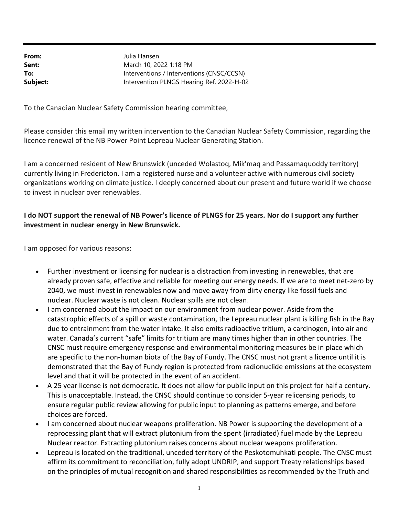From: Sent: To: Subject: Intervention PLNGS Hearing Ref. 2022-H-02 Interventions / Interventions (CNSC/CCSN) March 10, 2022 1:18 PM Julia Hansen

To the Canadian Nuclear Safety Commission hearing committee,

Please consider this email my written intervention to the Canadian Nuclear Safety Commission, regarding the licence renewal of the NB Power Point Lepreau Nuclear Generating Station.

I am a concerned resident of New Brunswick (unceded Wolastoq, Mik'maq and Passamaquoddy territory) currently living in Fredericton. I am a registered nurse and a volunteer active with numerous civil society organizations working on climate justice. I deeply concerned about our present and future world if we choose to invest in nuclear over renewables.

#### I do NOT support the renewal of NB Power's licence of PLNGS for 25 years. Nor do I support any further investment in nuclear energy in New Brunswick.

I am opposed for various reasons:

- Further investment or licensing for nuclear is a distraction from investing in renewables, that are already proven safe, effective and reliable for meeting our energy needs. If we are to meet net-zero by 2040, we must invest in renewables now and move away from dirty energy like fossil fuels and nuclear. Nuclear waste is not clean. Nuclear spills are not clean.
- I am concerned about the impact on our environment from nuclear power. Aside from the catastrophic effects of a spill or waste contamination, the Lepreau nuclear plant is killing fish in the Bay due to entrainment from the water intake. It also emits radioactive tritium, a carcinogen, into air and water. Canada's current "safe" limits for tritium are many times higher than in other countries. The CNSC must require emergency response and environmental monitoring measures be in place which are specific to the non-human biota of the Bay of Fundy. The CNSC must not grant a licence until it is demonstrated that the Bay of Fundy region is protected from radionuclide emissions at the ecosystem level and that it will be protected in the event of an accident.
- A 25 year license is not democratic. It does not allow for public input on this project for half a century. This is unacceptable. Instead, the CNSC should continue to consider 5-year relicensing periods, to ensure regular public review allowing for public input to planning as patterns emerge, and before choices are forced.
- I am concerned about nuclear weapons proliferation. NB Power is supporting the development of a reprocessing plant that will extract plutonium from the spent (irradiated) fuel made by the Lepreau Nuclear reactor. Extracting plutonium raises concerns about nuclear weapons proliferation.
- Lepreau is located on the traditional, unceded territory of the Peskotomuhkati people. The CNSC must affirm its commitment to reconciliation, fully adopt UNDRIP, and support Treaty relationships based on the principles of mutual recognition and shared responsibilities as recommended by the Truth and